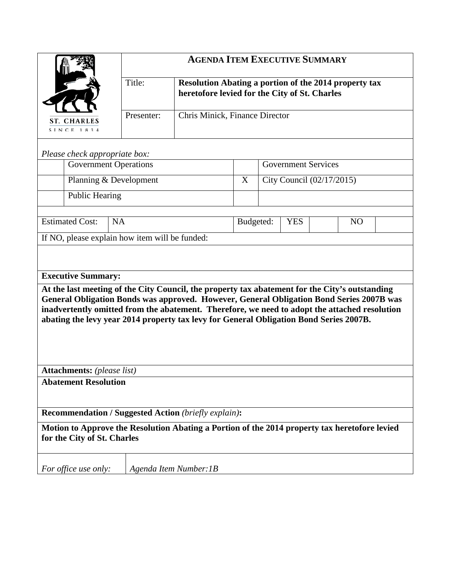|                                                                                                                                                                                                                                                                                           | <b>AGENDA ITEM EXECUTIVE SUMMARY</b>           |                                                                                                               |   |                                           |  |                                                                                          |  |  |
|-------------------------------------------------------------------------------------------------------------------------------------------------------------------------------------------------------------------------------------------------------------------------------------------|------------------------------------------------|---------------------------------------------------------------------------------------------------------------|---|-------------------------------------------|--|------------------------------------------------------------------------------------------|--|--|
|                                                                                                                                                                                                                                                                                           | Title:                                         | <b>Resolution Abating a portion of the 2014 property tax</b><br>heretofore levied for the City of St. Charles |   |                                           |  |                                                                                          |  |  |
| <b>ST. CHARLES</b><br>SINCE 1834                                                                                                                                                                                                                                                          | Presenter:                                     | Chris Minick, Finance Director                                                                                |   |                                           |  |                                                                                          |  |  |
| Please check appropriate box:                                                                                                                                                                                                                                                             |                                                |                                                                                                               |   |                                           |  |                                                                                          |  |  |
| <b>Government Operations</b>                                                                                                                                                                                                                                                              |                                                |                                                                                                               |   | <b>Government Services</b>                |  |                                                                                          |  |  |
| Planning & Development                                                                                                                                                                                                                                                                    |                                                |                                                                                                               | X | City Council (02/17/2015)                 |  |                                                                                          |  |  |
| <b>Public Hearing</b>                                                                                                                                                                                                                                                                     |                                                |                                                                                                               |   |                                           |  |                                                                                          |  |  |
| <b>Estimated Cost:</b><br><b>NA</b>                                                                                                                                                                                                                                                       |                                                |                                                                                                               |   | Budgeted:<br><b>YES</b><br>N <sub>O</sub> |  |                                                                                          |  |  |
|                                                                                                                                                                                                                                                                                           | If NO, please explain how item will be funded: |                                                                                                               |   |                                           |  |                                                                                          |  |  |
| <b>Executive Summary:</b>                                                                                                                                                                                                                                                                 |                                                |                                                                                                               |   |                                           |  |                                                                                          |  |  |
| At the last meeting of the City Council, the property tax abatement for the City's outstanding<br>inadvertently omitted from the abatement. Therefore, we need to adopt the attached resolution<br>abating the levy year 2014 property tax levy for General Obligation Bond Series 2007B. |                                                |                                                                                                               |   |                                           |  | General Obligation Bonds was approved. However, General Obligation Bond Series 2007B was |  |  |
| <b>Attachments:</b> (please list)                                                                                                                                                                                                                                                         |                                                |                                                                                                               |   |                                           |  |                                                                                          |  |  |
| <b>Abatement Resolution</b>                                                                                                                                                                                                                                                               |                                                |                                                                                                               |   |                                           |  |                                                                                          |  |  |
| <b>Recommendation / Suggested Action (briefly explain):</b>                                                                                                                                                                                                                               |                                                |                                                                                                               |   |                                           |  |                                                                                          |  |  |
| Motion to Approve the Resolution Abating a Portion of the 2014 property tax heretofore levied<br>for the City of St. Charles                                                                                                                                                              |                                                |                                                                                                               |   |                                           |  |                                                                                          |  |  |
| For office use only:                                                                                                                                                                                                                                                                      |                                                | Agenda Item Number: 1B                                                                                        |   |                                           |  |                                                                                          |  |  |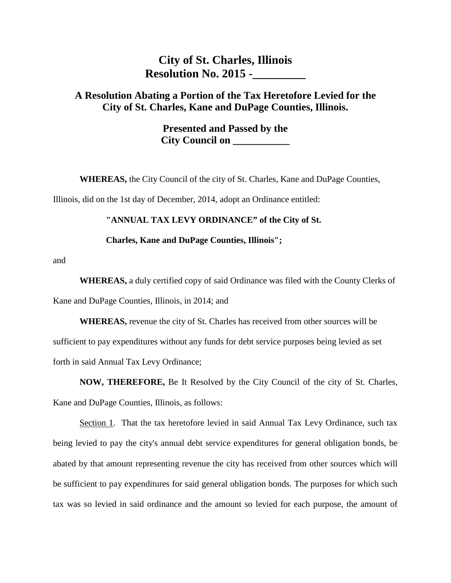## **City of St. Charles, Illinois Resolution No. 2015 -\_\_\_\_\_\_\_\_\_**

## **A Resolution Abating a Portion of the Tax Heretofore Levied for the City of St. Charles, Kane and DuPage Counties, Illinois.**

**Presented and Passed by the City Council on \_\_\_\_\_\_\_\_\_\_\_**

**WHEREAS,** the City Council of the city of St. Charles, Kane and DuPage Counties,

Illinois, did on the 1st day of December, 2014, adopt an Ordinance entitled:

## **"ANNUAL TAX LEVY ORDINANCE" of the City of St.**

## **Charles, Kane and DuPage Counties, Illinois";**

and

**WHEREAS,** a duly certified copy of said Ordinance was filed with the County Clerks of Kane and DuPage Counties, Illinois, in 2014; and

**WHEREAS,** revenue the city of St. Charles has received from other sources will be sufficient to pay expenditures without any funds for debt service purposes being levied as set forth in said Annual Tax Levy Ordinance;

**NOW, THEREFORE,** Be It Resolved by the City Council of the city of St. Charles, Kane and DuPage Counties, Illinois, as follows:

Section 1. That the tax heretofore levied in said Annual Tax Levy Ordinance, such tax being levied to pay the city's annual debt service expenditures for general obligation bonds, be abated by that amount representing revenue the city has received from other sources which will be sufficient to pay expenditures for said general obligation bonds. The purposes for which such tax was so levied in said ordinance and the amount so levied for each purpose, the amount of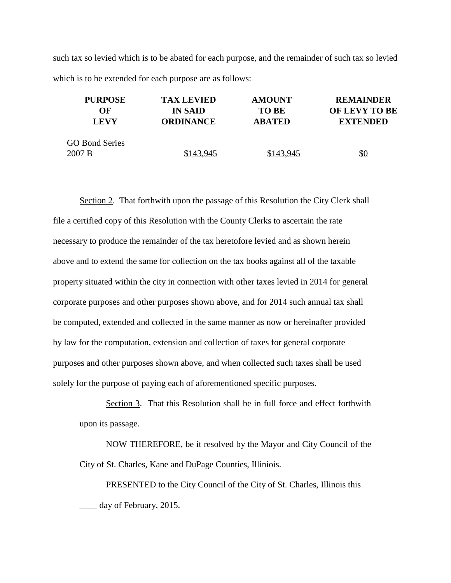such tax so levied which is to be abated for each purpose, and the remainder of such tax so levied which is to be extended for each purpose are as follows:

| <b>PURPOSE</b>                  | <b>TAX LEVIED</b> | <b>AMOUNT</b> | <b>REMAINDER</b> |
|---------------------------------|-------------------|---------------|------------------|
| OF                              | <b>IN SAID</b>    | <b>TO BE</b>  | OF LEVY TO BE    |
| <b>LEVY</b>                     | <b>ORDINANCE</b>  | <b>ABATED</b> | <b>EXTENDED</b>  |
| <b>GO Bond Series</b><br>2007 B | \$143,945         | \$143,945     | <u>\$0</u>       |

Section 2. That forthwith upon the passage of this Resolution the City Clerk shall file a certified copy of this Resolution with the County Clerks to ascertain the rate necessary to produce the remainder of the tax heretofore levied and as shown herein above and to extend the same for collection on the tax books against all of the taxable property situated within the city in connection with other taxes levied in 2014 for general corporate purposes and other purposes shown above, and for 2014 such annual tax shall be computed, extended and collected in the same manner as now or hereinafter provided by law for the computation, extension and collection of taxes for general corporate purposes and other purposes shown above, and when collected such taxes shall be used solely for the purpose of paying each of aforementioned specific purposes.

Section 3. That this Resolution shall be in full force and effect forthwith upon its passage.

NOW THEREFORE, be it resolved by the Mayor and City Council of the City of St. Charles, Kane and DuPage Counties, Illiniois.

PRESENTED to the City Council of the City of St. Charles, Illinois this \_\_\_\_ day of February, 2015.